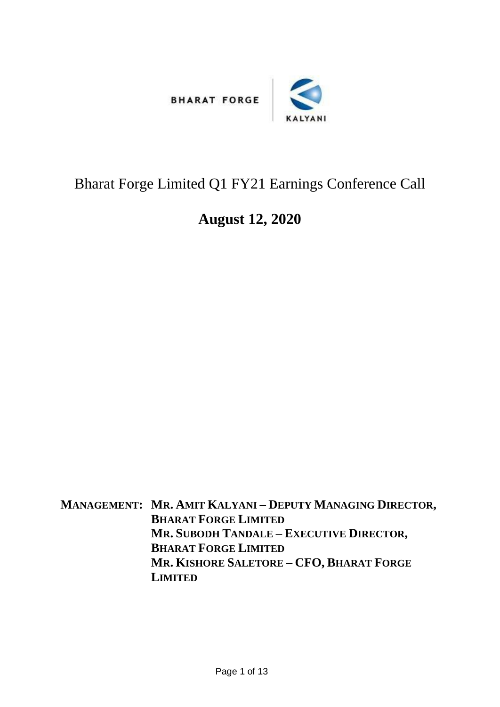



## Bharat Forge Limited Q1 FY21 Earnings Conference Call

## **August 12, 2020**

**MANAGEMENT: MR. AMIT KALYANI – DEPUTY MANAGING DIRECTOR, BHARAT FORGE LIMITED MR. SUBODH TANDALE – EXECUTIVE DIRECTOR, BHARAT FORGE LIMITED MR. KISHORE SALETORE – CFO, BHARAT FORGE LIMITED**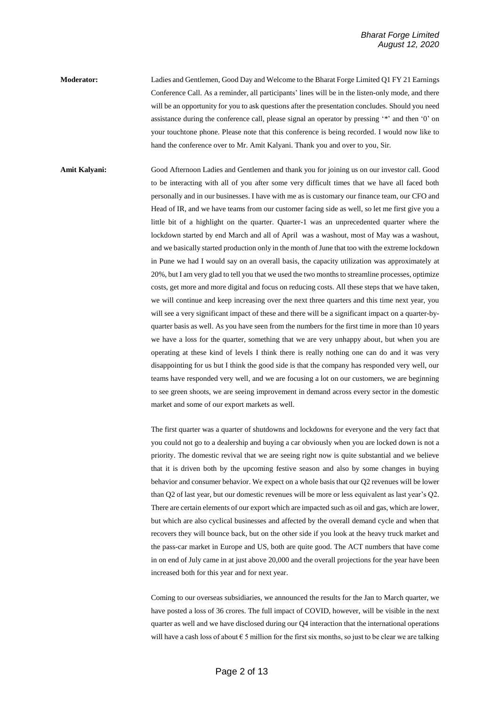**Moderator:** Ladies and Gentlemen, Good Day and Welcome to the Bharat Forge Limited Q1 FY 21 Earnings Conference Call. As a reminder, all participants' lines will be in the listen-only mode, and there will be an opportunity for you to ask questions after the presentation concludes. Should you need assistance during the conference call, please signal an operator by pressing '\*' and then '0' on your touchtone phone. Please note that this conference is being recorded. I would now like to hand the conference over to Mr. Amit Kalyani. Thank you and over to you, Sir.

**Amit Kalyani:** Good Afternoon Ladies and Gentlemen and thank you for joining us on our investor call. Good to be interacting with all of you after some very difficult times that we have all faced both personally and in our businesses. I have with me as is customary our finance team, our CFO and Head of IR, and we have teams from our customer facing side as well, so let me first give you a little bit of a highlight on the quarter. Quarter-1 was an unprecedented quarter where the lockdown started by end March and all of April was a washout, most of May was a washout, and we basically started production only in the month of June that too with the extreme lockdown in Pune we had I would say on an overall basis, the capacity utilization was approximately at 20%, but I am very glad to tell you that we used the two months to streamline processes, optimize costs, get more and more digital and focus on reducing costs. All these steps that we have taken, we will continue and keep increasing over the next three quarters and this time next year, you will see a very significant impact of these and there will be a significant impact on a quarter-byquarter basis as well. As you have seen from the numbers for the first time in more than 10 years we have a loss for the quarter, something that we are very unhappy about, but when you are operating at these kind of levels I think there is really nothing one can do and it was very disappointing for us but I think the good side is that the company has responded very well, our teams have responded very well, and we are focusing a lot on our customers, we are beginning to see green shoots, we are seeing improvement in demand across every sector in the domestic market and some of our export markets as well.

> The first quarter was a quarter of shutdowns and lockdowns for everyone and the very fact that you could not go to a dealership and buying a car obviously when you are locked down is not a priority. The domestic revival that we are seeing right now is quite substantial and we believe that it is driven both by the upcoming festive season and also by some changes in buying behavior and consumer behavior. We expect on a whole basis that our Q2 revenues will be lower than Q2 of last year, but our domestic revenues will be more or less equivalent as last year's Q2. There are certain elements of our export which are impacted such as oil and gas, which are lower, but which are also cyclical businesses and affected by the overall demand cycle and when that recovers they will bounce back, but on the other side if you look at the heavy truck market and the pass-car market in Europe and US, both are quite good. The ACT numbers that have come in on end of July came in at just above 20,000 and the overall projections for the year have been increased both for this year and for next year.

> Coming to our overseas subsidiaries, we announced the results for the Jan to March quarter, we have posted a loss of 36 crores. The full impact of COVID, however, will be visible in the next quarter as well and we have disclosed during our Q4 interaction that the international operations will have a cash loss of about  $\epsilon$  5 million for the first six months, so just to be clear we are talking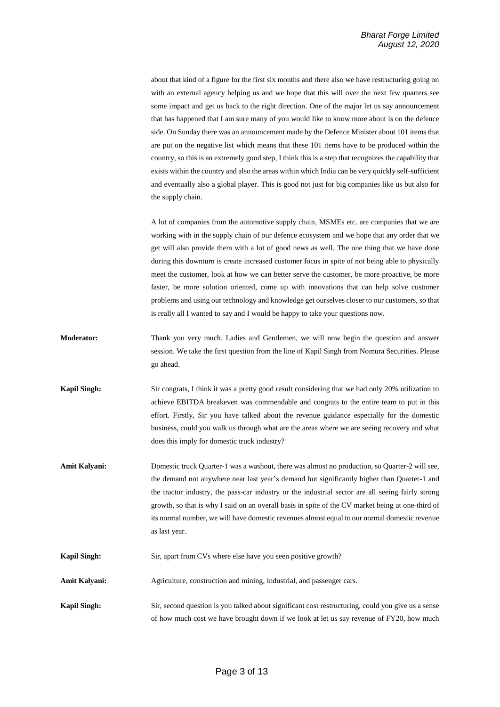about that kind of a figure for the first six months and there also we have restructuring going on with an external agency helping us and we hope that this will over the next few quarters see some impact and get us back to the right direction. One of the major let us say announcement that has happened that I am sure many of you would like to know more about is on the defence side. On Sunday there was an announcement made by the Defence Minister about 101 items that are put on the negative list which means that these 101 items have to be produced within the country, so this is an extremely good step, I think this is a step that recognizes the capability that exists within the country and also the areas within which India can be very quickly self-sufficient and eventually also a global player. This is good not just for big companies like us but also for the supply chain.

A lot of companies from the automotive supply chain, MSMEs etc. are companies that we are working with in the supply chain of our defence ecosystem and we hope that any order that we get will also provide them with a lot of good news as well. The one thing that we have done during this downturn is create increased customer focus in spite of not being able to physically meet the customer, look at how we can better serve the customer, be more proactive, be more faster, be more solution oriented, come up with innovations that can help solve customer problems and using our technology and knowledge get ourselves closer to our customers, so that is really all I wanted to say and I would be happy to take your questions now.

- **Moderator:** Thank you very much. Ladies and Gentlemen, we will now begin the question and answer session. We take the first question from the line of Kapil Singh from Nomura Securities. Please go ahead.
- **Kapil Singh:** Sir congrats, I think it was a pretty good result considering that we had only 20% utilization to achieve EBITDA breakeven was commendable and congrats to the entire team to put in this effort. Firstly, Sir you have talked about the revenue guidance especially for the domestic business, could you walk us through what are the areas where we are seeing recovery and what does this imply for domestic truck industry?
- **Amit Kalyani:** Domestic truck Quarter-1 was a washout, there was almost no production, so Quarter-2 will see, the demand not anywhere near last year's demand but significantly higher than Quarter-1 and the tractor industry, the pass-car industry or the industrial sector are all seeing fairly strong growth, so that is why I said on an overall basis in spite of the CV market being at one-third of its normal number, we will have domestic revenues almost equal to our normal domestic revenue as last year.
- **Kapil Singh:** Sir, apart from CVs where else have you seen positive growth?
- Amit Kalyani: Agriculture, construction and mining, industrial, and passenger cars.
- **Kapil Singh:** Sir, second question is you talked about significant cost restructuring, could you give us a sense of how much cost we have brought down if we look at let us say revenue of FY20, how much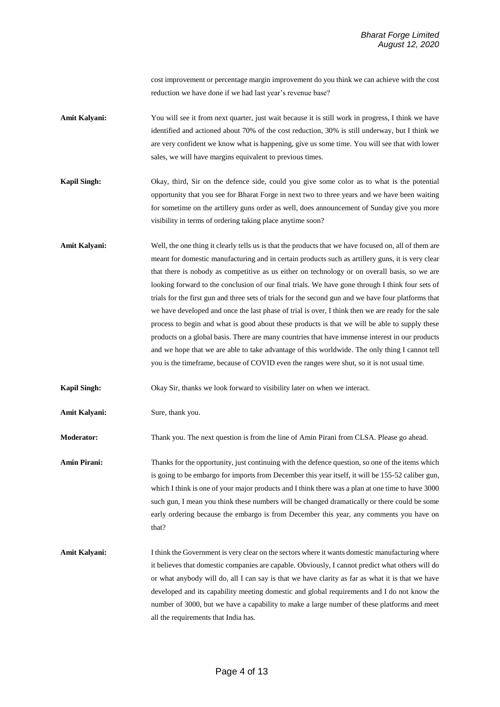cost improvement or percentage margin improvement do you think we can achieve with the cost reduction we have done if we had last year's revenue base?

- **Amit Kalyani:** You will see it from next quarter, just wait because it is still work in progress, I think we have identified and actioned about 70% of the cost reduction, 30% is still underway, but I think we are very confident we know what is happening, give us some time. You will see that with lower sales, we will have margins equivalent to previous times.
- **Kapil Singh:** Okay, third, Sir on the defence side, could you give some color as to what is the potential opportunity that you see for Bharat Forge in next two to three years and we have been waiting for sometime on the artillery guns order as well, does announcement of Sunday give you more visibility in terms of ordering taking place anytime soon?
- Amit Kalyani: Well, the one thing it clearly tells us is that the products that we have focused on, all of them are meant for domestic manufacturing and in certain products such as artillery guns, it is very clear that there is nobody as competitive as us either on technology or on overall basis, so we are looking forward to the conclusion of our final trials. We have gone through I think four sets of trials for the first gun and three sets of trials for the second gun and we have four platforms that we have developed and once the last phase of trial is over, I think then we are ready for the sale process to begin and what is good about these products is that we will be able to supply these products on a global basis. There are many countries that have immense interest in our products and we hope that we are able to take advantage of this worldwide. The only thing I cannot tell you is the timeframe, because of COVID even the ranges were shut, so it is not usual time.

**Kapil Singh:** Okay Sir, thanks we look forward to visibility later on when we interact.

**Amit Kalyani:** Sure, thank you.

**Moderator:** Thank you. The next question is from the line of Amin Pirani from CLSA. Please go ahead.

**Amin Pirani:** Thanks for the opportunity, just continuing with the defence question, so one of the items which is going to be embargo for imports from December this year itself, it will be 155-52 caliber gun, which I think is one of your major products and I think there was a plan at one time to have 3000 such gun, I mean you think these numbers will be changed dramatically or there could be some early ordering because the embargo is from December this year, any comments you have on that?

Amit Kalyani: I think the Government is very clear on the sectors where it wants domestic manufacturing where it believes that domestic companies are capable. Obviously, I cannot predict what others will do or what anybody will do, all I can say is that we have clarity as far as what it is that we have developed and its capability meeting domestic and global requirements and I do not know the number of 3000, but we have a capability to make a large number of these platforms and meet all the requirements that India has.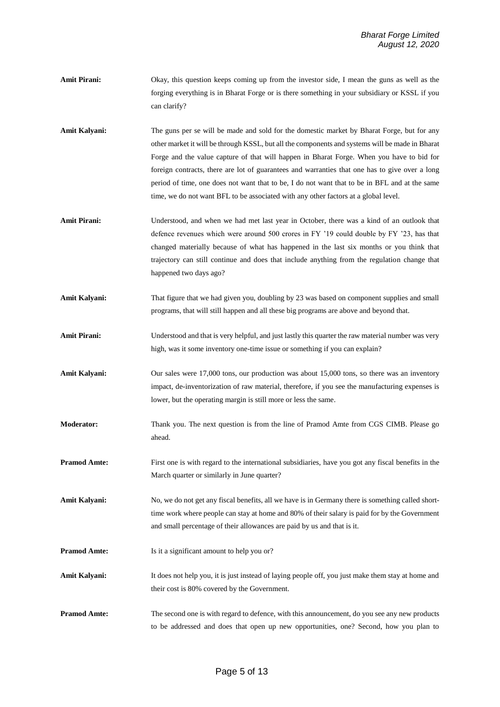- **Amit Pirani:** Okay, this question keeps coming up from the investor side, I mean the guns as well as the forging everything is in Bharat Forge or is there something in your subsidiary or KSSL if you can clarify?
- Amit Kalyani: The guns per se will be made and sold for the domestic market by Bharat Forge, but for any other market it will be through KSSL, but all the components and systems will be made in Bharat Forge and the value capture of that will happen in Bharat Forge. When you have to bid for foreign contracts, there are lot of guarantees and warranties that one has to give over a long period of time, one does not want that to be, I do not want that to be in BFL and at the same time, we do not want BFL to be associated with any other factors at a global level.
- **Amit Pirani:** Understood, and when we had met last year in October, there was a kind of an outlook that defence revenues which were around 500 crores in FY '19 could double by FY '23, has that changed materially because of what has happened in the last six months or you think that trajectory can still continue and does that include anything from the regulation change that happened two days ago?
- **Amit Kalyani:** That figure that we had given you, doubling by 23 was based on component supplies and small programs, that will still happen and all these big programs are above and beyond that.
- **Amit Pirani:** Understood and that is very helpful, and just lastly this quarter the raw material number was very high, was it some inventory one-time issue or something if you can explain?
- Amit Kalyani: Our sales were 17,000 tons, our production was about 15,000 tons, so there was an inventory impact, de-inventorization of raw material, therefore, if you see the manufacturing expenses is lower, but the operating margin is still more or less the same.
- **Moderator:** Thank you. The next question is from the line of Pramod Amte from CGS CIMB. Please go ahead.
- **Pramod Amte:** First one is with regard to the international subsidiaries, have you got any fiscal benefits in the March quarter or similarly in June quarter?
- Amit Kalyani: No, we do not get any fiscal benefits, all we have is in Germany there is something called shorttime work where people can stay at home and 80% of their salary is paid for by the Government and small percentage of their allowances are paid by us and that is it.
- **Pramod Amte:** Is it a significant amount to help you or?
- **Amit Kalyani:** It does not help you, it is just instead of laying people off, you just make them stay at home and their cost is 80% covered by the Government.
- **Pramod Amte:** The second one is with regard to defence, with this announcement, do you see any new products to be addressed and does that open up new opportunities, one? Second, how you plan to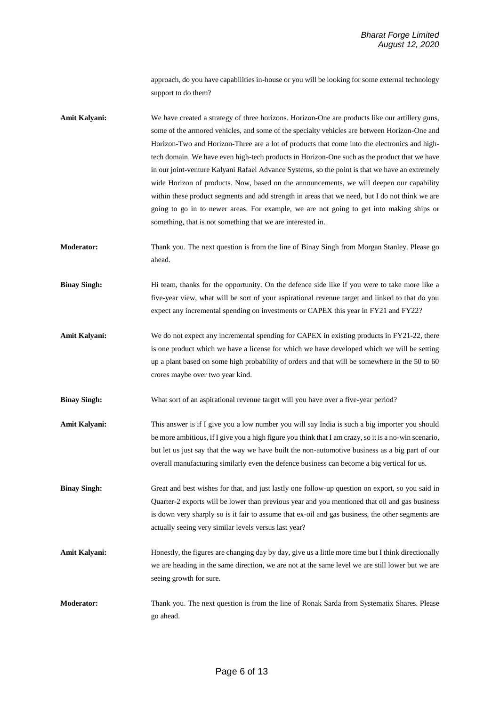approach, do you have capabilities in-house or you will be looking for some external technology support to do them?

- **Amit Kalyani:** We have created a strategy of three horizons. Horizon-One are products like our artillery guns, some of the armored vehicles, and some of the specialty vehicles are between Horizon-One and Horizon-Two and Horizon-Three are a lot of products that come into the electronics and hightech domain. We have even high-tech products in Horizon-One such as the product that we have in our joint-venture Kalyani Rafael Advance Systems, so the point is that we have an extremely wide Horizon of products. Now, based on the announcements, we will deepen our capability within these product segments and add strength in areas that we need, but I do not think we are going to go in to newer areas. For example, we are not going to get into making ships or something, that is not something that we are interested in.
- **Moderator:** Thank you. The next question is from the line of Binay Singh from Morgan Stanley. Please go ahead.
- **Binay Singh:** Hi team, thanks for the opportunity. On the defence side like if you were to take more like a five-year view, what will be sort of your aspirational revenue target and linked to that do you expect any incremental spending on investments or CAPEX this year in FY21 and FY22?
- Amit Kalyani: We do not expect any incremental spending for CAPEX in existing products in FY21-22, there is one product which we have a license for which we have developed which we will be setting up a plant based on some high probability of orders and that will be somewhere in the 50 to 60 crores maybe over two year kind.
- **Binay Singh:** What sort of an aspirational revenue target will you have over a five-year period?
- **Amit Kalyani:** This answer is if I give you a low number you will say India is such a big importer you should be more ambitious, if I give you a high figure you think that I am crazy, so it is a no-win scenario, but let us just say that the way we have built the non-automotive business as a big part of our overall manufacturing similarly even the defence business can become a big vertical for us.
- **Binay Singh:** Great and best wishes for that, and just lastly one follow-up question on export, so you said in Quarter-2 exports will be lower than previous year and you mentioned that oil and gas business is down very sharply so is it fair to assume that ex-oil and gas business, the other segments are actually seeing very similar levels versus last year?
- Amit Kalyani: Honestly, the figures are changing day by day, give us a little more time but I think directionally we are heading in the same direction, we are not at the same level we are still lower but we are seeing growth for sure.
- **Moderator:** Thank you. The next question is from the line of Ronak Sarda from Systematix Shares. Please go ahead.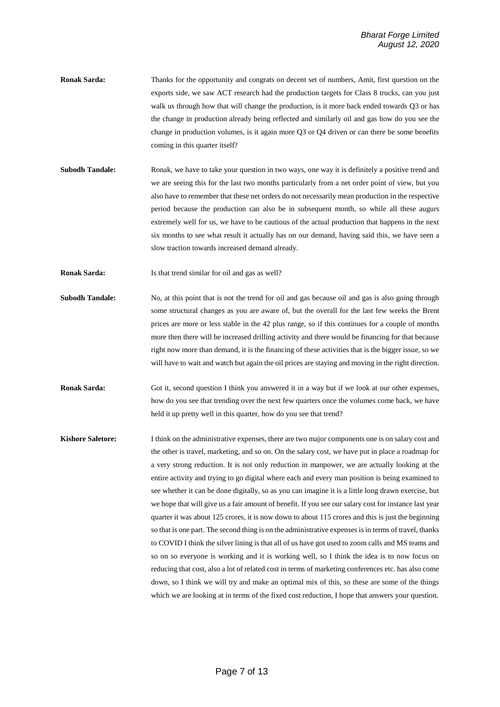- **Ronak Sarda:** Thanks for the opportunity and congrats on decent set of numbers, Amit, first question on the exports side, we saw ACT research had the production targets for Class 8 trucks, can you just walk us through how that will change the production, is it more back ended towards Q3 or has the change in production already being reflected and similarly oil and gas how do you see the change in production volumes, is it again more Q3 or Q4 driven or can there be some benefits coming in this quarter itself?
- **Subodh Tandale:** Ronak, we have to take your question in two ways, one way it is definitely a positive trend and we are seeing this for the last two months particularly from a net order point of view, but you also have to remember that these net orders do not necessarily mean production in the respective period because the production can also be in subsequent month, so while all these augurs extremely well for us, we have to be cautious of the actual production that happens in the next six months to see what result it actually has on our demand, having said this, we have seen a slow traction towards increased demand already.
- **Ronak Sarda:** Is that trend similar for oil and gas as well?
- **Subodh Tandale:** No, at this point that is not the trend for oil and gas because oil and gas is also going through some structural changes as you are aware of, but the overall for the last few weeks the Brent prices are more or less stable in the 42 plus range, so if this continues for a couple of months more then there will be increased drilling activity and there would be financing for that because right now more than demand, it is the financing of these activities that is the bigger issue, so we will have to wait and watch but again the oil prices are staying and moving in the right direction.
- **Ronak Sarda:** Got it, second question I think you answered it in a way but if we look at our other expenses, how do you see that trending over the next few quarters once the volumes come back, we have held it up pretty well in this quarter, how do you see that trend?
- **Kishore Saletore:** I think on the administrative expenses, there are two major components one is on salary cost and the other is travel, marketing, and so on. On the salary cost, we have put in place a roadmap for a very strong reduction. It is not only reduction in manpower, we are actually looking at the entire activity and trying to go digital where each and every man position is being examined to see whether it can be done digitally, so as you can imagine it is a little long drawn exercise, but we hope that will give us a fair amount of benefit. If you see our salary cost for instance last year quarter it was about 125 crores, it is now down to about 115 crores and this is just the beginning so that is one part. The second thing is on the administrative expenses is in terms of travel, thanks to COVID I think the silver lining is that all of us have got used to zoom calls and MS teams and so on so everyone is working and it is working well, so I think the idea is to now focus on reducing that cost, also a lot of related cost in terms of marketing conferences etc. has also come down, so I think we will try and make an optimal mix of this, so these are some of the things which we are looking at in terms of the fixed cost reduction, I hope that answers your question.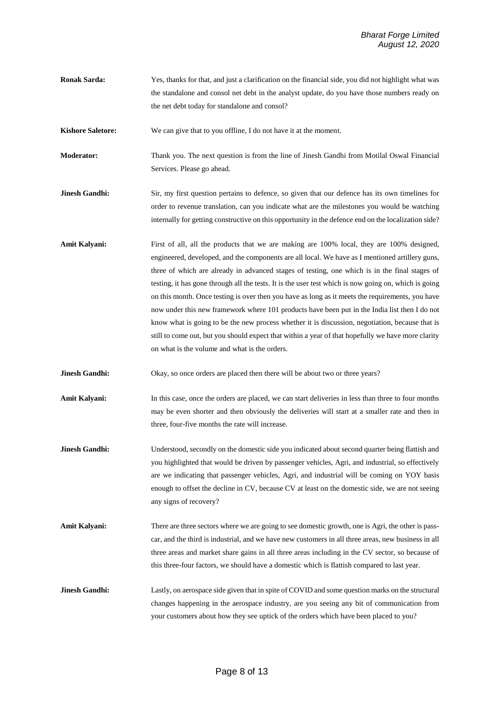**Ronak Sarda:** Yes, thanks for that, and just a clarification on the financial side, you did not highlight what was the standalone and consol net debt in the analyst update, do you have those numbers ready on the net debt today for standalone and consol?

**Kishore Saletore:** We can give that to you offline, I do not have it at the moment.

**Moderator:** Thank you. The next question is from the line of Jinesh Gandhi from Motilal Oswal Financial Services. Please go ahead.

- **Jinesh Gandhi:** Sir, my first question pertains to defence, so given that our defence has its own timelines for order to revenue translation, can you indicate what are the milestones you would be watching internally for getting constructive on this opportunity in the defence end on the localization side?
- Amit Kalyani: First of all, all the products that we are making are 100% local, they are 100% designed, engineered, developed, and the components are all local. We have as I mentioned artillery guns, three of which are already in advanced stages of testing, one which is in the final stages of testing, it has gone through all the tests. It is the user test which is now going on, which is going on this month. Once testing is over then you have as long as it meets the requirements, you have now under this new framework where 101 products have been put in the India list then I do not know what is going to be the new process whether it is discussion, negotiation, because that is still to come out, but you should expect that within a year of that hopefully we have more clarity on what is the volume and what is the orders.
- **Jinesh Gandhi:** Okay, so once orders are placed then there will be about two or three years?
- **Amit Kalyani:** In this case, once the orders are placed, we can start deliveries in less than three to four months may be even shorter and then obviously the deliveries will start at a smaller rate and then in three, four-five months the rate will increase.
- **Jinesh Gandhi:** Understood, secondly on the domestic side you indicated about second quarter being flattish and you highlighted that would be driven by passenger vehicles, Agri, and industrial, so effectively are we indicating that passenger vehicles, Agri, and industrial will be coming on YOY basis enough to offset the decline in CV, because CV at least on the domestic side, we are not seeing any signs of recovery?
- **Amit Kalyani:** There are three sectors where we are going to see domestic growth, one is Agri, the other is passcar, and the third is industrial, and we have new customers in all three areas, new business in all three areas and market share gains in all three areas including in the CV sector, so because of this three-four factors, we should have a domestic which is flattish compared to last year.
- **Jinesh Gandhi:** Lastly, on aerospace side given that in spite of COVID and some question marks on the structural changes happening in the aerospace industry, are you seeing any bit of communication from your customers about how they see uptick of the orders which have been placed to you?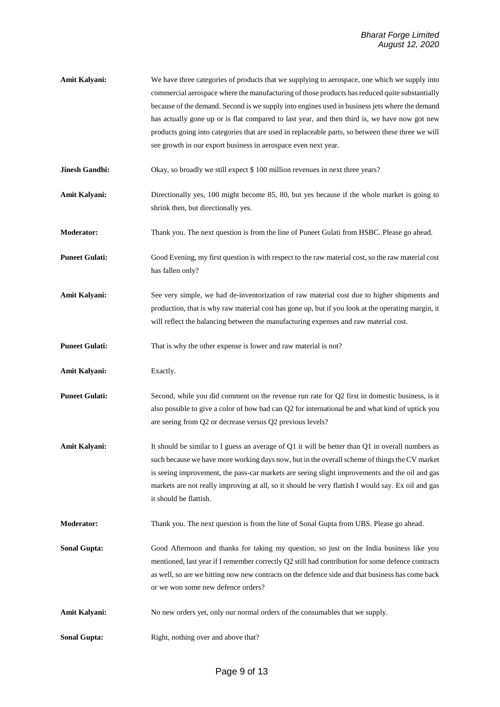| Amit Kalyani:         | We have three categories of products that we supplying to aerospace, one which we supply into<br>commercial aerospace where the manufacturing of those products has reduced quite substantially<br>because of the demand. Second is we supply into engines used in business jets where the demand<br>has actually gone up or is flat compared to last year, and then third is, we have now got new<br>products going into categories that are used in replaceable parts, so between these three we will<br>see growth in our export business in aerospace even next year. |
|-----------------------|---------------------------------------------------------------------------------------------------------------------------------------------------------------------------------------------------------------------------------------------------------------------------------------------------------------------------------------------------------------------------------------------------------------------------------------------------------------------------------------------------------------------------------------------------------------------------|
| <b>Jinesh Gandhi:</b> | Okay, so broadly we still expect \$100 million revenues in next three years?                                                                                                                                                                                                                                                                                                                                                                                                                                                                                              |
| Amit Kalyani:         | Directionally yes, 100 might become 85, 80, but yes because if the whole market is going to<br>shrink then, but directionally yes.                                                                                                                                                                                                                                                                                                                                                                                                                                        |
| Moderator:            | Thank you. The next question is from the line of Puneet Gulati from HSBC. Please go ahead.                                                                                                                                                                                                                                                                                                                                                                                                                                                                                |
| <b>Puneet Gulati:</b> | Good Evening, my first question is with respect to the raw material cost, so the raw material cost<br>has fallen only?                                                                                                                                                                                                                                                                                                                                                                                                                                                    |
| Amit Kalyani:         | See very simple, we had de-inventorization of raw material cost due to higher shipments and<br>production, that is why raw material cost has gone up, but if you look at the operating margin, it<br>will reflect the balancing between the manufacturing expenses and raw material cost.                                                                                                                                                                                                                                                                                 |
| <b>Puneet Gulati:</b> | That is why the other expense is lower and raw material is not?                                                                                                                                                                                                                                                                                                                                                                                                                                                                                                           |
| Amit Kalyani:         | Exactly.                                                                                                                                                                                                                                                                                                                                                                                                                                                                                                                                                                  |
| <b>Puneet Gulati:</b> | Second, while you did comment on the revenue run rate for Q2 first in domestic business, is it<br>also possible to give a color of how bad can Q2 for international be and what kind of uptick you                                                                                                                                                                                                                                                                                                                                                                        |
|                       | are seeing from Q2 or decrease versus Q2 previous levels?                                                                                                                                                                                                                                                                                                                                                                                                                                                                                                                 |
| Amit Kalyani:         | It should be similar to I guess an average of Q1 it will be better than Q1 in overall numbers as<br>such because we have more working days now, but in the overall scheme of things the CV market<br>is seeing improvement, the pass-car markets are seeing slight improvements and the oil and gas<br>markets are not really improving at all, so it should be very flattish I would say. Ex oil and gas<br>it should be flattish.                                                                                                                                       |
| <b>Moderator:</b>     | Thank you. The next question is from the line of Sonal Gupta from UBS. Please go ahead.                                                                                                                                                                                                                                                                                                                                                                                                                                                                                   |
| <b>Sonal Gupta:</b>   | Good Afternoon and thanks for taking my question, so just on the India business like you<br>mentioned, last year if I remember correctly Q2 still had contribution for some defence contracts<br>as well, so are we hitting now new contracts on the defence side and that business has come back<br>or we won some new defence orders?                                                                                                                                                                                                                                   |
| Amit Kalyani:         | No new orders yet, only our normal orders of the consumables that we supply.                                                                                                                                                                                                                                                                                                                                                                                                                                                                                              |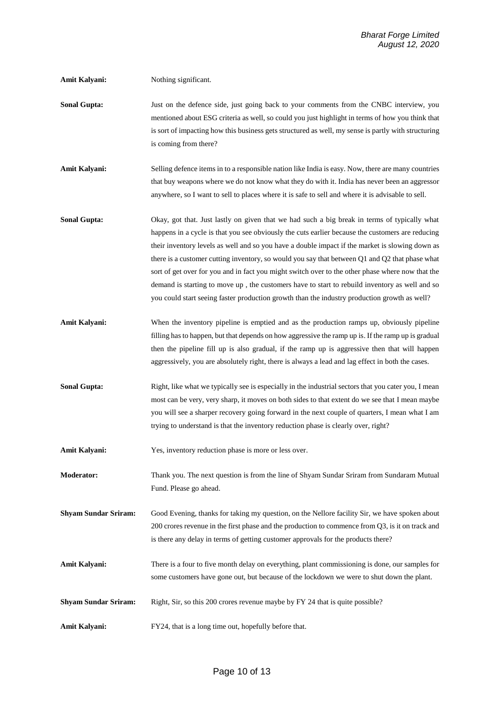**Amit Kalyani:** Nothing significant.

Sonal Gupta: Just on the defence side, just going back to your comments from the CNBC interview, you mentioned about ESG criteria as well, so could you just highlight in terms of how you think that is sort of impacting how this business gets structured as well, my sense is partly with structuring is coming from there?

Amit Kalyani: Selling defence items in to a responsible nation like India is easy. Now, there are many countries that buy weapons where we do not know what they do with it. India has never been an aggressor anywhere, so I want to sell to places where it is safe to sell and where it is advisable to sell.

**Sonal Gupta:** Okay, got that. Just lastly on given that we had such a big break in terms of typically what happens in a cycle is that you see obviously the cuts earlier because the customers are reducing their inventory levels as well and so you have a double impact if the market is slowing down as there is a customer cutting inventory, so would you say that between Q1 and Q2 that phase what sort of get over for you and in fact you might switch over to the other phase where now that the demand is starting to move up , the customers have to start to rebuild inventory as well and so you could start seeing faster production growth than the industry production growth as well?

**Amit Kalyani:** When the inventory pipeline is emptied and as the production ramps up, obviously pipeline filling has to happen, but that depends on how aggressive the ramp up is. If the ramp up is gradual then the pipeline fill up is also gradual, if the ramp up is aggressive then that will happen aggressively, you are absolutely right, there is always a lead and lag effect in both the cases.

**Sonal Gupta:** Right, like what we typically see is especially in the industrial sectors that you cater you, I mean most can be very, very sharp, it moves on both sides to that extent do we see that I mean maybe you will see a sharper recovery going forward in the next couple of quarters, I mean what I am trying to understand is that the inventory reduction phase is clearly over, right?

**Amit Kalyani:** Yes, inventory reduction phase is more or less over.

**Moderator:** Thank you. The next question is from the line of Shyam Sundar Sriram from Sundaram Mutual Fund. Please go ahead.

**Shyam Sundar Sriram:** Good Evening, thanks for taking my question, on the Nellore facility Sir, we have spoken about 200 crores revenue in the first phase and the production to commence from Q3, is it on track and is there any delay in terms of getting customer approvals for the products there?

**Amit Kalyani:** There is a four to five month delay on everything, plant commissioning is done, our samples for some customers have gone out, but because of the lockdown we were to shut down the plant.

**Shyam Sundar Sriram:** Right, Sir, so this 200 crores revenue maybe by FY 24 that is quite possible?

Amit Kalyani: FY24, that is a long time out, hopefully before that.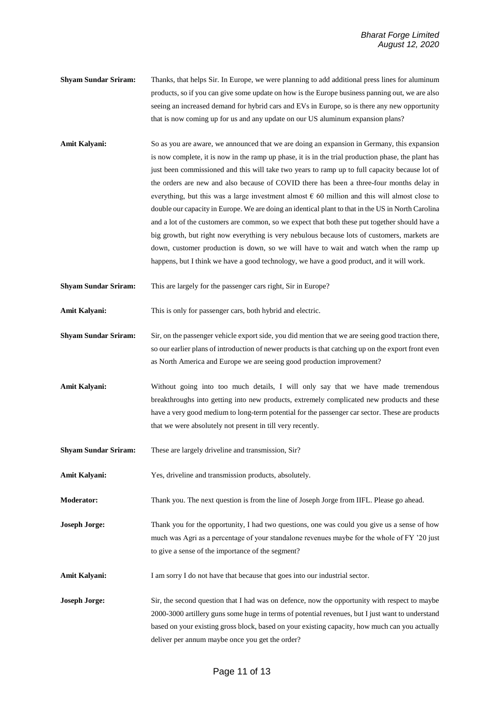- **Shyam Sundar Sriram:** Thanks, that helps Sir. In Europe, we were planning to add additional press lines for aluminum products, so if you can give some update on how is the Europe business panning out, we are also seeing an increased demand for hybrid cars and EVs in Europe, so is there any new opportunity that is now coming up for us and any update on our US aluminum expansion plans?
- **Amit Kalyani:** So as you are aware, we announced that we are doing an expansion in Germany, this expansion is now complete, it is now in the ramp up phase, it is in the trial production phase, the plant has just been commissioned and this will take two years to ramp up to full capacity because lot of the orders are new and also because of COVID there has been a three-four months delay in everything, but this was a large investment almost  $\epsilon$  60 million and this will almost close to double our capacity in Europe. We are doing an identical plant to that in the US in North Carolina and a lot of the customers are common, so we expect that both these put together should have a big growth, but right now everything is very nebulous because lots of customers, markets are down, customer production is down, so we will have to wait and watch when the ramp up happens, but I think we have a good technology, we have a good product, and it will work.
- **Shyam Sundar Sriram:** This are largely for the passenger cars right, Sir in Europe?

**Amit Kalyani:** This is only for passenger cars, both hybrid and electric.

- **Shyam Sundar Sriram:** Sir, on the passenger vehicle export side, you did mention that we are seeing good traction there, so our earlier plans of introduction of newer products is that catching up on the export front even as North America and Europe we are seeing good production improvement?
- **Amit Kalyani:** Without going into too much details, I will only say that we have made tremendous breakthroughs into getting into new products, extremely complicated new products and these have a very good medium to long-term potential for the passenger car sector. These are products that we were absolutely not present in till very recently.
- **Shyam Sundar Sriram:** These are largely driveline and transmission, Sir?
- **Amit Kalyani:** Yes, driveline and transmission products, absolutely.
- **Moderator:** Thank you. The next question is from the line of Joseph Jorge from IIFL. Please go ahead.
- **Joseph Jorge:** Thank you for the opportunity, I had two questions, one was could you give us a sense of how much was Agri as a percentage of your standalone revenues maybe for the whole of FY '20 just to give a sense of the importance of the segment?
- **Amit Kalyani:** I am sorry I do not have that because that goes into our industrial sector.
- **Joseph Jorge:** Sir, the second question that I had was on defence, now the opportunity with respect to maybe 2000-3000 artillery guns some huge in terms of potential revenues, but I just want to understand based on your existing gross block, based on your existing capacity, how much can you actually deliver per annum maybe once you get the order?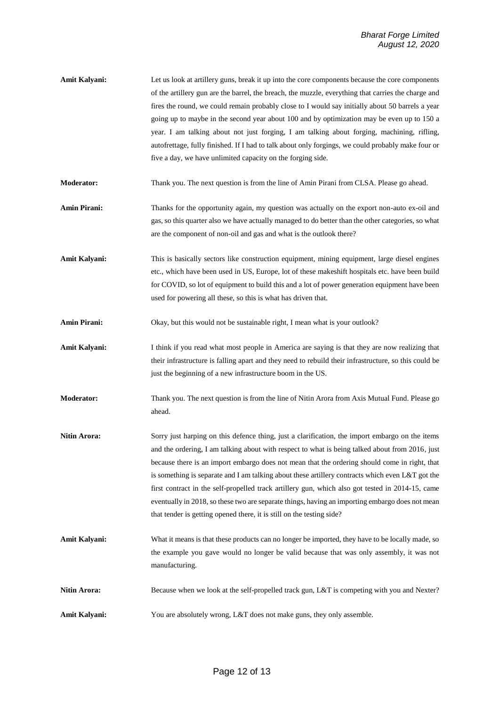**Amit Kalyani:** Let us look at artillery guns, break it up into the core components because the core components of the artillery gun are the barrel, the breach, the muzzle, everything that carries the charge and fires the round, we could remain probably close to I would say initially about 50 barrels a year going up to maybe in the second year about 100 and by optimization may be even up to 150 a year. I am talking about not just forging, I am talking about forging, machining, rifling, autofrettage, fully finished. If I had to talk about only forgings, we could probably make four or five a day, we have unlimited capacity on the forging side.

**Moderator:** Thank you. The next question is from the line of Amin Pirani from CLSA. Please go ahead.

- **Amin Pirani:** Thanks for the opportunity again, my question was actually on the export non-auto ex-oil and gas, so this quarter also we have actually managed to do better than the other categories, so what are the component of non-oil and gas and what is the outlook there?
- **Amit Kalyani:** This is basically sectors like construction equipment, mining equipment, large diesel engines etc., which have been used in US, Europe, lot of these makeshift hospitals etc. have been build for COVID, so lot of equipment to build this and a lot of power generation equipment have been used for powering all these, so this is what has driven that.
- **Amin Pirani:** Okay, but this would not be sustainable right, I mean what is your outlook?
- Amit Kalyani: I think if you read what most people in America are saying is that they are now realizing that their infrastructure is falling apart and they need to rebuild their infrastructure, so this could be just the beginning of a new infrastructure boom in the US.
- **Moderator:** Thank you. The next question is from the line of Nitin Arora from Axis Mutual Fund. Please go ahead.
- **Nitin Arora:** Sorry just harping on this defence thing, just a clarification, the import embargo on the items and the ordering, I am talking about with respect to what is being talked about from 2016, just because there is an import embargo does not mean that the ordering should come in right, that is something is separate and I am talking about these artillery contracts which even L&T got the first contract in the self-propelled track artillery gun, which also got tested in 2014-15, came eventually in 2018, so these two are separate things, having an importing embargo does not mean that tender is getting opened there, it is still on the testing side?
- Amit Kalyani: What it means is that these products can no longer be imported, they have to be locally made, so the example you gave would no longer be valid because that was only assembly, it was not manufacturing.
- Nitin Arora: Because when we look at the self-propelled track gun, L&T is competing with you and Nexter?

**Amit Kalyani:** You are absolutely wrong, L&T does not make guns, they only assemble.